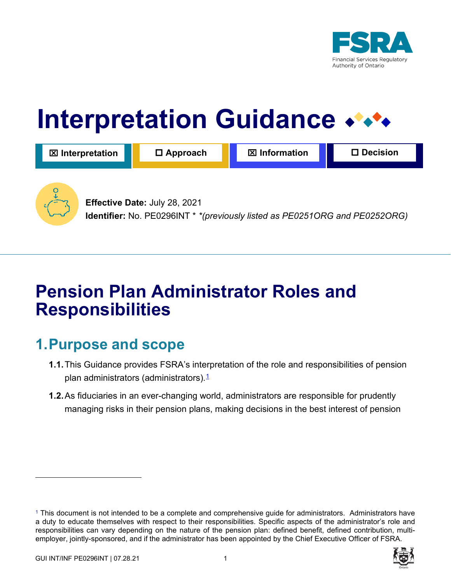

# **Interpretation Guidance**

| <b>図</b> Interpretation | $\Box$ Approach               | $\boxtimes$ Information | <b>∃ Decision</b> |
|-------------------------|-------------------------------|-------------------------|-------------------|
|                         | Effective Date: July 28, 2021 |                         |                   |

**Identifier:** No. PE0296INT \* *\*(previously listed as PE0251ORG and PE0252ORG)*

## **Pension Plan Administrator Roles and Responsibilities**

## **1. Purpose and scope**

- **1.1.** This Guidance provides FSRA's interpretation of the role and responsibilities of pension plan administrators (administrators). $1/2$
- **1.2.**As fiduciaries in an ever-changing world, administrators are responsible for prudently managing risks in their pension plans, making decisions in the best interest of pension

<sup>1</sup> This document is not intended to be a complete and comprehensive guide for administrators. Administrators have a duty to educate themselves with respect to their responsibilities. Specific aspects of the administrator's role and responsibilities can vary depending on the nature of the pension plan: defined benefit, defined contribution, multiemployer, jointly-sponsored, and if the administrator has been appointed by the Chief Executive Officer of FSRA.

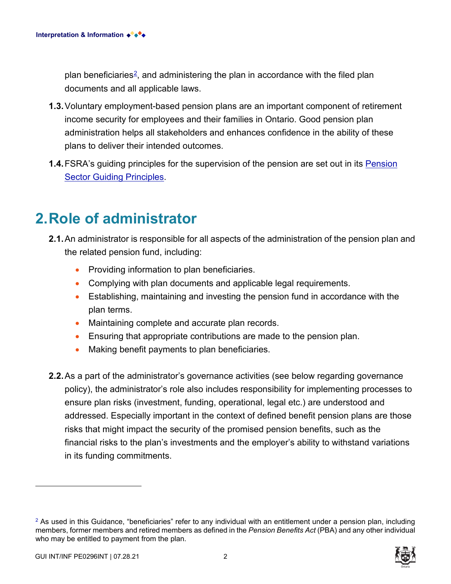plan beneficiaries<sup>2</sup>, and administering the plan in accordance with the filed plan documents and all applicable laws.

- **1.3.**Voluntary employment-based pension plans are an important component of retirement income security for employees and their families in Ontario. Good pension plan administration helps all stakeholders and enhances confidence in the ability of these plans to deliver their intended outcomes.
- **1.4.**FSRA's guiding principles for the supervision of the pension are set out in its [Pension](https://www.fsrao.ca/industry/pensions/regulatory-framework/guidance/pension-sector-guiding-principles)  [Sector Guiding Principles.](https://www.fsrao.ca/industry/pensions/regulatory-framework/guidance/pension-sector-guiding-principles)

#### **2.Role of administrator**

- **2.1.**An administrator is responsible for all aspects of the administration of the pension plan and the related pension fund, including:
	- Providing information to plan beneficiaries.
	- Complying with plan documents and applicable legal requirements.
	- Establishing, maintaining and investing the pension fund in accordance with the plan terms.
	- Maintaining complete and accurate plan records.
	- Ensuring that appropriate contributions are made to the pension plan.
	- Making benefit payments to plan beneficiaries.
- **2.2.**As a part of the administrator's governance activities (see below regarding governance policy), the administrator's role also includes responsibility for implementing processes to ensure plan risks (investment, funding, operational, legal etc.) are understood and addressed. Especially important in the context of defined benefit pension plans are those risks that might impact the security of the promised pension benefits, such as the financial risks to the plan's investments and the employer's ability to withstand variations in its funding commitments.

 $2$  As used in this Guidance, "beneficiaries" refer to any individual with an entitlement under a pension plan, including members, former members and retired members as defined in the *Pension Benefits Act* (PBA) and any other individual who may be entitled to payment from the plan.

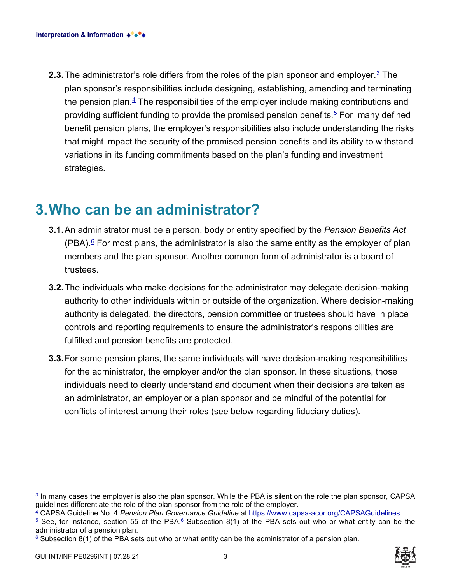**2.3.**The administrator's role differs from the roles of the plan sponsor and employer. <sup>3</sup> The plan sponsor's responsibilities include designing, establishing, amending and terminating the pension plan. $4$  The responsibilities of the employer include making contributions and providing sufficient funding to provide the promised pension benefits.<sup>5</sup> For many defined benefit pension plans, the employer's responsibilities also include understanding the risks that might impact the security of the promised pension benefits and its ability to withstand variations in its funding commitments based on the plan's funding and investment strategies.

#### **3. Who can be an administrator?**

- **3.1.**An administrator must be a person, body or entity specified by the *Pension Benefits Act*  (PBA). $§$  For most plans, the administrator is also the same entity as the employer of plan members and the plan sponsor. Another common form of administrator is a board of trustees.
- **3.2.**The individuals who make decisions for the administrator may delegate decision-making authority to other individuals within or outside of the organization. Where decision-making authority is delegated, the directors, pension committee or trustees should have in place controls and reporting requirements to ensure the administrator's responsibilities are fulfilled and pension benefits are protected.
- **3.3.**For some pension plans, the same individuals will have decision-making responsibilities for the administrator, the employer and/or the plan sponsor. In these situations, those individuals need to clearly understand and document when their decisions are taken as an administrator, an employer or a plan sponsor and be mindful of the potential for conflicts of interest among their roles (see below regarding fiduciary duties).



 $3$  In many cases the employer is also the plan sponsor. While the PBA is silent on the role the plan sponsor, CAPSA guidelines differentiate the role of the plan sponsor end pan sponsor.

<sup>&</sup>lt;sup>4</sup> CAPSA Guideline No. 4 Pension Plan Governance Guideline at [https://www.capsa-acor.org/CAPSAGuidelines.](https://www.capsa-acor.org/CAPSAGuidelines)<br><sup>5</sup> See, for instance, section 55 of the PBA.<sup>6</sup> Subsection 8(1) of the PBA sets out who or what entity can be the administrator of a pension plan.

 $6$  Subsection 8(1) of the PBA sets out who or what entity can be the administrator of a pension plan.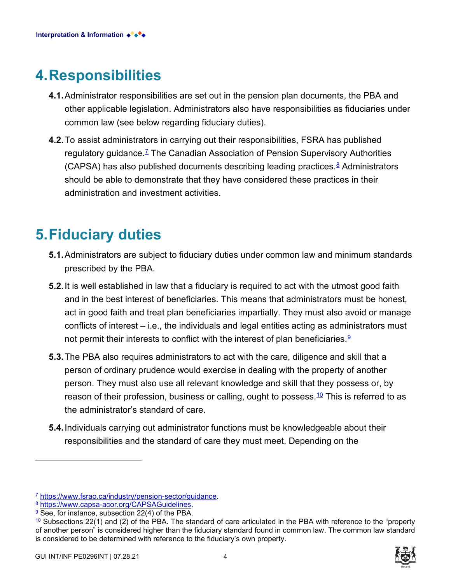#### **4.Responsibilities**

- **4.1.**Administrator responsibilities are set out in the pension plan documents, the PBA and other applicable legislation. Administrators also have responsibilities as fiduciaries under common law (see below regarding fiduciary duties).
- **4.2.**To assist administrators in carrying out their responsibilities, FSRA has published regulatory guidance. <sup>7</sup> The Canadian Association of Pension Supervisory Authorities (CAPSA) has also published documents describing leading practices. 8 Administrators should be able to demonstrate that they have considered these practices in their administration and investment activities.

#### **5. Fiduciary duties**

- **5.1.**Administrators are subject to fiduciary duties under common law and minimum standards prescribed by the PBA.
- **5.2.**It is well established in law that a fiduciary is required to act with the utmost good faith and in the best interest of beneficiaries. This means that administrators must be honest, act in good faith and treat plan beneficiaries impartially. They must also avoid or manage conflicts of interest – i.e., the individuals and legal entities acting as administrators must not permit their interests to conflict with the interest of plan beneficiaries.<sup><u>9</u></sup>
- **5.3.**The PBA also requires administrators to act with the care, diligence and skill that a person of ordinary prudence would exercise in dealing with the property of another person. They must also use all relevant knowledge and skill that they possess or, by reason of their profession, business or calling, ought to possess.<del>10</del> This is referred to as the administrator's standard of care.
- **5.4.**Individuals carrying out administrator functions must be knowledgeable about their responsibilities and the standard of care they must meet. Depending on the



<sup>7</sup> [https://www.fsrao.ca/industry/pension-sector/guidance.](https://www.fsrao.ca/industry/pension-sector/guidance) 8 [https://www.capsa-acor.org/CAPSAGuidelines.](https://www.capsa-acor.org/CAPSAGuidelines)

<sup>&</sup>lt;sup>9</sup> See, for instance, subsection 22(4) of the PBA.

<sup>&</sup>lt;sup>10</sup> Subsections 22(1) and (2) of the PBA. The standard of care articulated in the PBA with reference to the "property of another person" is considered higher than the fiduciary standard found in common law. The common law standard is considered to be determined with reference to the fiduciary's own property.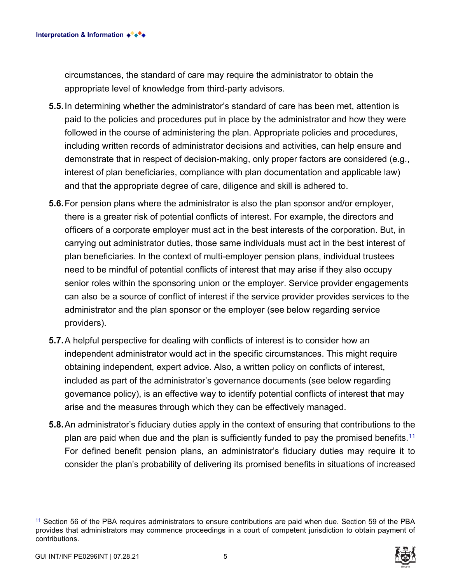circumstances, the standard of care may require the administrator to obtain the appropriate level of knowledge from third-party advisors.

- **5.5.**In determining whether the administrator's standard of care has been met, attention is paid to the policies and procedures put in place by the administrator and how they were followed in the course of administering the plan. Appropriate policies and procedures, including written records of administrator decisions and activities, can help ensure and demonstrate that in respect of decision-making, only proper factors are considered (e.g., interest of plan beneficiaries, compliance with plan documentation and applicable law) and that the appropriate degree of care, diligence and skill is adhered to.
- **5.6.**For pension plans where the administrator is also the plan sponsor and/or employer, there is a greater risk of potential conflicts of interest. For example, the directors and officers of a corporate employer must act in the best interests of the corporation. But, in carrying out administrator duties, those same individuals must act in the best interest of plan beneficiaries. In the context of multi-employer pension plans, individual trustees need to be mindful of potential conflicts of interest that may arise if they also occupy senior roles within the sponsoring union or the employer. Service provider engagements can also be a source of conflict of interest if the service provider provides services to the administrator and the plan sponsor or the employer (see below regarding service providers).
- **5.7.**A helpful perspective for dealing with conflicts of interest is to consider how an independent administrator would act in the specific circumstances. This might require obtaining independent, expert advice. Also, a written policy on conflicts of interest, included as part of the administrator's governance documents (see below regarding governance policy), is an effective way to identify potential conflicts of interest that may arise and the measures through which they can be effectively managed.
- **5.8.**An administrator's fiduciary duties apply in the context of ensuring that contributions to the plan are paid when due and the plan is sufficiently funded to pay the promised benefits.  $11$ For defined benefit pension plans, an administrator's fiduciary duties may require it to consider the plan's probability of delivering its promised benefits in situations of increased

<sup>11</sup> Section 56 of the PBA requires administrators to ensure contributions are paid when due. Section 59 of the PBA provides that administrators may commence proceedings in a court of competent jurisdiction to obtain payment of contributions.

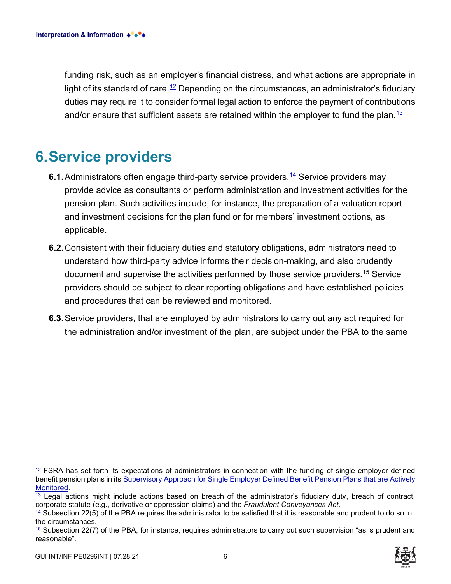funding risk, such as an employer's financial distress, and what actions are appropriate in light of its standard of care. $^{12}$  Depending on the circumstances, an administrator's fiduciary duties may require it to consider formal legal action to enforce the payment of contributions and/or ensure that sufficient assets are retained within the employer to fund the plan.<sup>13</sup>

#### **6.Service providers**

- **6.1.** Administrators often engage third-party service providers.<sup>14</sup> Service providers may provide advice as consultants or perform administration and investment activities for the pension plan. Such activities include, for instance, the preparation of a valuation report and investment decisions for the plan fund or for members' investment options, as applicable.
- **6.2.**Consistent with their fiduciary duties and statutory obligations, administrators need to understand how third-party advice informs their decision-making, and also prudently document and supervise the activities performed by those service providers.<sup>15</sup> Service providers should be subject to clear reporting obligations and have established policies and procedures that can be reviewed and monitored.
- **6.3.**Service providers, that are employed by administrators to carry out any act required for the administration and/or investment of the plan, are subject under the PBA to the same

<sup>&</sup>lt;sup>12</sup> FSRA has set forth its expectations of administrators in connection with the funding of single employer defined benefit pension plans in its Supervisory Approach for Single Employer Defined Benefit Pension Plans that are Actively<br>Monitored.

<sup>&</sup>lt;sup>13</sup> Legal actions might include actions based on breach of the administrator's fiduciary duty, breach of contract, corporate statute (e.g., derivative or oppression claims) and the *Fraudulent Conveyances Act*.

<sup>&</sup>lt;sup>14</sup> Subsection 22(5) of the PBA requires the administrator to be satisfied that it is reasonable and prudent to do so in the circumstances.

<sup>&</sup>lt;sup>15</sup> Subsection 22(7) of the PBA, for instance, requires administrators to carry out such supervision "as is prudent and reasonable".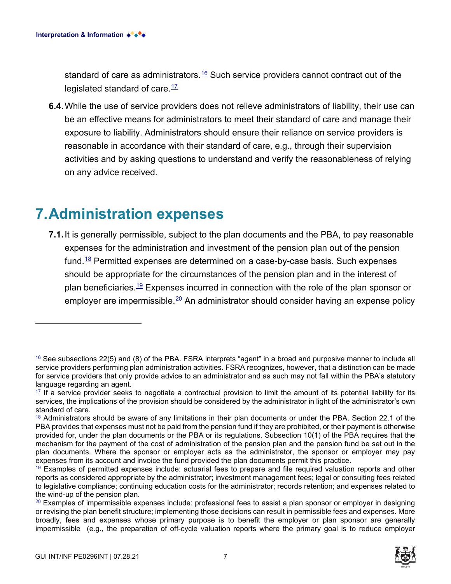standard of care as administrators.<sup>16</sup> Such service providers cannot contract out of the legislated standard of care.<sup>17</sup>

**6.4.**While the use of service providers does not relieve administrators of liability, their use can be an effective means for administrators to meet their standard of care and manage their exposure to liability. Administrators should ensure their reliance on service providers is reasonable in accordance with their standard of care, e.g., through their supervision activities and by asking questions to understand and verify the reasonableness of relying on any advice received.

#### **7. Administration expenses**

**7.1.**It is generally permissible, subject to the plan documents and the PBA, to pay reasonable expenses for the administration and investment of the pension plan out of the pension fund.<sup>18</sup> Permitted expenses are determined on a case-by-case basis. Such expenses should be appropriate for the circumstances of the pension plan and in the interest of plan beneficiaries.<sup>19</sup> Expenses incurred in connection with the role of the plan sponsor or employer are impermissible. $20$  An administrator should consider having an expense policy



 $16$  See subsections 22(5) and (8) of the PBA. FSRA interprets "agent" in a broad and purposive manner to include all service providers performing plan administration activities. FSRA recognizes, however, that a distinction can be made for service providers that only provide advice to an administrator and as such may not fall within the PBA's statutory language regarding an agent.

<sup>&</sup>lt;sup>17</sup> If a service provider seeks to negotiate a contractual provision to limit the amount of its potential liability for its services, the implications of the provision should be considered by the administrator in light of the administrator's own standard of care.<br><sup>18</sup> Administrators should be aware of any limitations in their plan documents or under the PBA. Section 22.1 of the

PBA provides that expenses must not be paid from the pension fund if they are prohibited, or their payment is otherwise provided for, under the plan documents or the PBA or its regulations. Subsection 10(1) of the PBA requires that the mechanism for the payment of the cost of administration of the pension plan and the pension fund be set out in the plan documents. Where the sponsor or employer acts as the administrator, the sponsor or employer may pay expenses from its account and invoice the fund provided the plan documents permit this practice.

<sup>&</sup>lt;sup>19</sup> Examples of permitted expenses include: actuarial fees to prepare and file required valuation reports and other reports as considered appropriate by the administrator; investment management fees; legal or consulting fees related to legislative compliance; continuing education costs for the administrator; records retention; and expenses related to the wind-up of the pension plan.

<sup>&</sup>lt;sup>20</sup> Examples of impermissible expenses include: professional fees to assist a plan sponsor or employer in designing or revising the plan benefit structure; implementing those decisions can result in permissible fees and expenses. More broadly, fees and expenses whose primary purpose is to benefit the employer or plan sponsor are generally impermissible (e.g., the preparation of off-cycle valuation reports where the primary goal is to reduce employer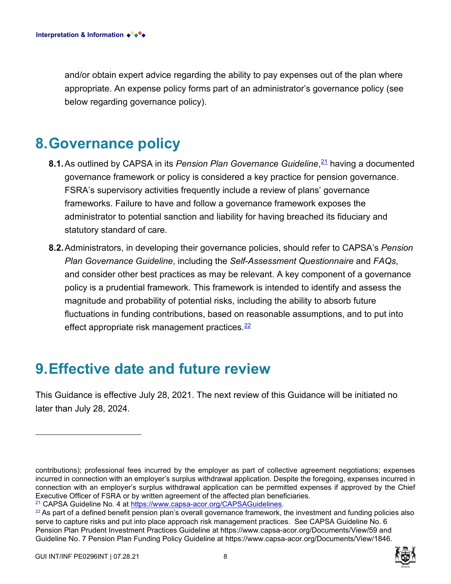and/or obtain expert advice regarding the ability to pay expenses out of the plan where appropriate. An expense policy forms part of an administrator's governance policy (see below regarding governance policy).

#### **8.Governance policy**

- **8.1.**As outlined by CAPSA in its *Pension Plan Governance Guideline*, <sup>21</sup> having a documented governance framework or policy is considered a key practice for pension governance. FSRA's supervisory activities frequently include a review of plans' governance frameworks. Failure to have and follow a governance framework exposes the administrator to potential sanction and liability for having breached its fiduciary and statutory standard of care.
- **8.2.**Administrators, in developing their governance policies, should refer to CAPSA's *Pension Plan Governance Guideline*, including the *Self-Assessment Questionnaire* and *FAQs*, and consider other best practices as may be relevant. A key component of a governance policy is a prudential framework. This framework is intended to identify and assess the magnitude and probability of potential risks, including the ability to absorb future fluctuations in funding contributions, based on reasonable assumptions, and to put into effect appropriate risk management practices. $22$

#### **9.Effective date and future review**

This Guidance is effective July 28, 2021. The next review of this Guidance will be initiated no later than July 28, 2024.

contributions); professional fees incurred by the employer as part of collective agreement negotiations; expenses incurred in connection with an employer's surplus withdrawal application. Despite the foregoing, expenses incurred in connection with an employer's surplus withdrawal application can be permitted expenses if approved by the Chief Executive Officer of FSRA or by written agreement of the affected plan beneficiaries.

<sup>21</sup> CAPSA Guideline No. 4 at [https://www.capsa-acor.org/CAPSAGuidelines.](https://www.capsa-acor.org/CAPSAGuidelines)

 $22$  As part of a defined benefit pension plan's overall governance framework, the investment and funding policies also serve to capture risks and put into place approach risk management practices. See CAPSA Guideline No. 6 Pension Plan Prudent Investment Practices Guideline at <https://www.capsa-acor.org/Documents/View/59> and Guideline No. 7 Pension Plan Funding Policy Guideline at <https://www.capsa-acor.org/Documents/View/1846>.